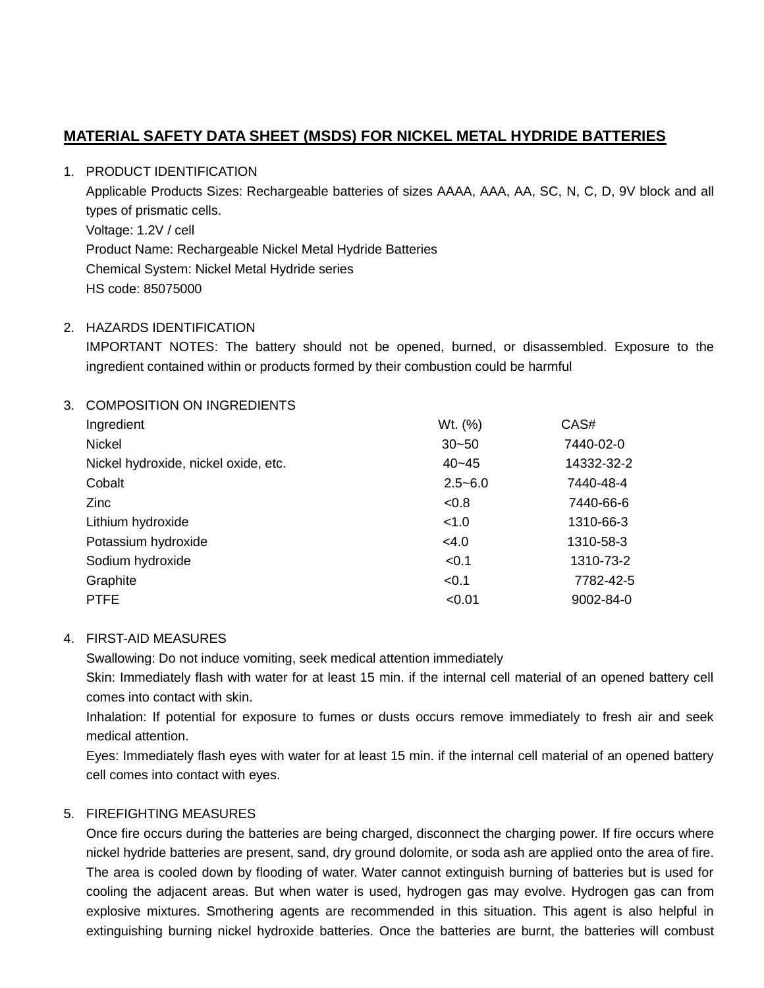# **MATERIAL SAFETY DATA SHEET (MSDS) FOR NICKEL METAL HYDRIDE BATTERIES**

#### 1. PRODUCT IDENTIFICATION

 Applicable Products Sizes: Rechargeable batteries of sizes AAAA, AAA, AA, SC, N, C, D, 9V block and all Voltage: 1.2V / cell Product Name: Rechargeable Nickel Metal Hydride Batteries Chemical System: Nickel Metal Hydride series types of prismatic cells. HS code: 85075000

### 2. HAZARDS IDENTIFICATION

 IMPORTANT NOTES: The battery should not be opened, burned, or disassembled. Exposure to the ingredient contained within or products formed by their combustion could be harmful

### 3. COMPOSITION ON INGREDIENTS

| Ingredient                           | Wt. (%)     | CAS#            |
|--------------------------------------|-------------|-----------------|
| Nickel                               | $30 - 50$   | 7440-02-0       |
| Nickel hydroxide, nickel oxide, etc. | $40 - 45$   | 14332-32-2      |
| Cobalt                               | $2.5 - 6.0$ | 7440-48-4       |
| Zinc                                 | &0.8        | 7440-66-6       |
| Lithium hydroxide                    | < 1.0       | 1310-66-3       |
| Potassium hydroxide                  | <4.0        | 1310-58-3       |
| Sodium hydroxide                     | < 0.1       | 1310-73-2       |
| Graphite                             | < 0.1       | 7782-42-5       |
| <b>PTFE</b>                          | < 0.01      | $9002 - 84 - 0$ |

#### 4. FIRST-AID MEASURES

Swallowing: Do not induce vomiting, seek medical attention immediately

 Skin: Immediately flash with water for at least 15 min. if the internal cell material of an opened battery cell comes into contact with skin.

 Inhalation: If potential for exposure to fumes or dusts occurs remove immediately to fresh air and seek medical attention.

 Eyes: Immediately flash eyes with water for at least 15 min. if the internal cell material of an opened battery cell comes into contact with eyes.

### 5. FIREFIGHTING MEASURES

 Once fire occurs during the batteries are being charged, disconnect the charging power. If fire occurs where nickel hydride batteries are present, sand, dry ground dolomite, or soda ash are applied onto the area of fire. The area is cooled down by flooding of water. Water cannot extinguish burning of batteries but is used for cooling the adjacent areas. But when water is used, hydrogen gas may evolve. Hydrogen gas can from explosive mixtures. Smothering agents are recommended in this situation. This agent is also helpful in extinguishing burning nickel hydroxide batteries. Once the batteries are burnt, the batteries will combust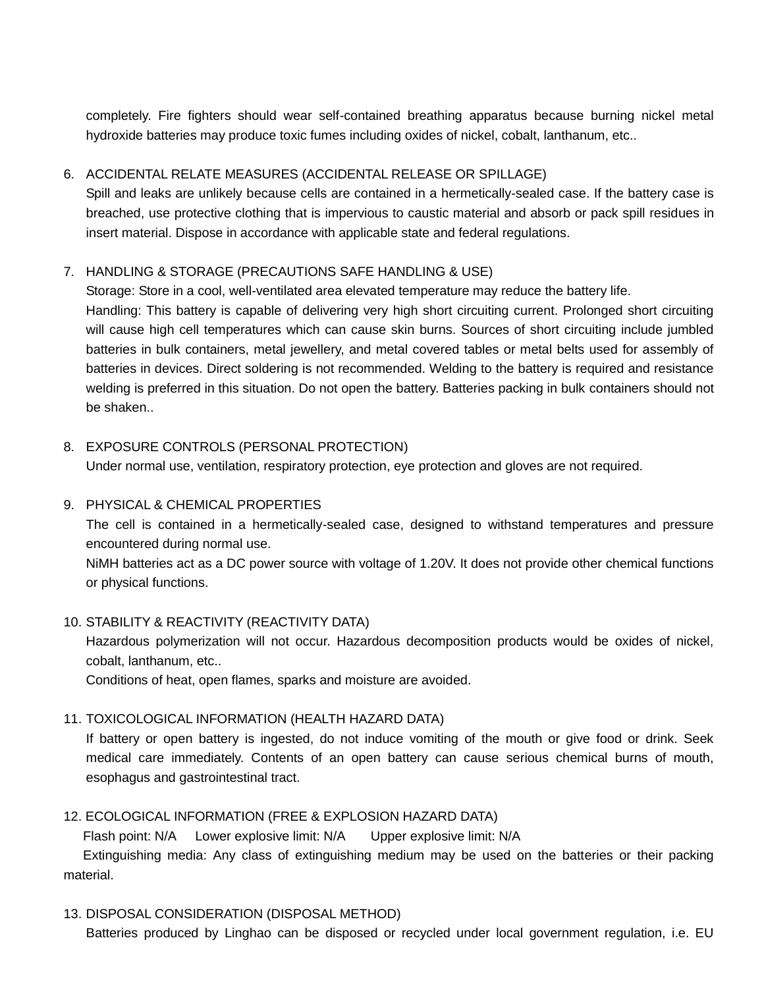completely. Fire fighters should wear self-contained breathing apparatus because burning nickel metal hydroxide batteries may produce toxic fumes including oxides of nickel, cobalt, lanthanum, etc..

# 6. ACCIDENTAL RELATE MEASURES (ACCIDENTAL RELEASE OR SPILLAGE)

 Spill and leaks are unlikely because cells are contained in a hermetically-sealed case. If the battery case is breached, use protective clothing that is impervious to caustic material and absorb or pack spill residues in insert material. Dispose in accordance with applicable state and federal regulations.

# 7. HANDLING & STORAGE (PRECAUTIONS SAFE HANDLING & USE)

Storage: Store in a cool, well-ventilated area elevated temperature may reduce the battery life.

 Handling: This battery is capable of delivering very high short circuiting current. Prolonged short circuiting will cause high cell temperatures which can cause skin burns. Sources of short circuiting include jumbled batteries in bulk containers, metal jewellery, and metal covered tables or metal belts used for assembly of batteries in devices. Direct soldering is not recommended. Welding to the battery is required and resistance welding is preferred in this situation. Do not open the battery. Batteries packing in bulk containers should not be shaken..

# 8. EXPOSURE CONTROLS (PERSONAL PROTECTION)

Under normal use, ventilation, respiratory protection, eye protection and gloves are not required.

### 9. PHYSICAL & CHEMICAL PROPERTIES

 encountered during normal use. The cell is contained in a hermetically-sealed case, designed to withstand temperatures and pressure

 NiMH batteries act as a DC power source with voltage of 1.20V. It does not provide other chemical functions or physical functions.

### 10. STABILITY & REACTIVITY (REACTIVITY DATA)

 Hazardous polymerization will not occur. Hazardous decomposition products would be oxides of nickel, cobalt, lanthanum, etc..

Conditions of heat, open flames, sparks and moisture are avoided.

# 11. TOXICOLOGICAL INFORMATION (HEALTH HAZARD DATA)

 If battery or open battery is ingested, do not induce vomiting of the mouth or give food or drink. Seek medical care immediately. Contents of an open battery can cause serious chemical burns of mouth, esophagus and gastrointestinal tract.

# 12. ECOLOGICAL INFORMATION (FREE & EXPLOSION HAZARD DATA)

Flash point: N/A Lower explosive limit: N/A Upper explosive limit: N/A

Extinguishing media: Any class of extinguishing medium may be used on the batteries or their packing material.

### 13. DISPOSAL CONSIDERATION (DISPOSAL METHOD)

Batteries produced by Linghao can be disposed or recycled under local government regulation, i.e. EU